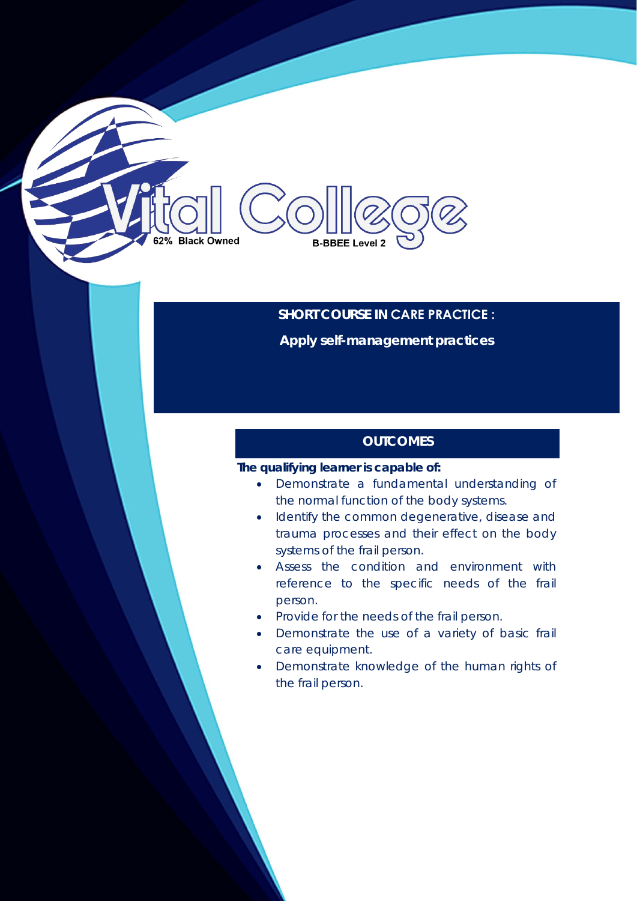# **Black Owned B-BBEE Level 2**

# **SHORT COURSE IN CARE PRACTICE :**

**Apply self-management practices** 

# **OUTCOMES**

### **The qualifying learner is capable of:**

- Demonstrate a fundamental understanding of the normal function of the body systems.
- Identify the common degenerative, disease and trauma processes and their effect on the body systems of the frail person.
- Assess the condition and environment with reference to the specific needs of the frail person.
- Provide for the needs of the frail person.
- Demonstrate the use of a variety of basic frail care equipment.
- Demonstrate knowledge of the human rights of the frail person.